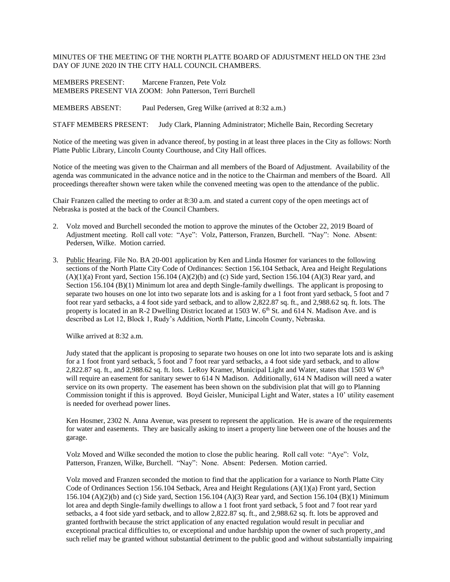## MINUTES OF THE MEETING OF THE NORTH PLATTE BOARD OF ADJUSTMENT HELD ON THE 23rd DAY OF JUNE 2020 IN THE CITY HALL COUNCIL CHAMBERS.

MEMBERS PRESENT: Marcene Franzen, Pete Volz MEMBERS PRESENT VIA ZOOM: John Patterson, Terri Burchell

MEMBERS ABSENT: Paul Pedersen, Greg Wilke (arrived at 8:32 a.m.)

STAFF MEMBERS PRESENT: Judy Clark, Planning Administrator; Michelle Bain, Recording Secretary

Notice of the meeting was given in advance thereof, by posting in at least three places in the City as follows: North Platte Public Library, Lincoln County Courthouse, and City Hall offices.

Notice of the meeting was given to the Chairman and all members of the Board of Adjustment. Availability of the agenda was communicated in the advance notice and in the notice to the Chairman and members of the Board. All proceedings thereafter shown were taken while the convened meeting was open to the attendance of the public.

Chair Franzen called the meeting to order at 8:30 a.m. and stated a current copy of the open meetings act of Nebraska is posted at the back of the Council Chambers.

- 2. Volz moved and Burchell seconded the motion to approve the minutes of the October 22, 2019 Board of Adjustment meeting. Roll call vote: "Aye": Volz, Patterson, Franzen, Burchell. "Nay": None. Absent: Pedersen, Wilke. Motion carried.
- 3. Public Hearing. File No. BA 20-001 application by Ken and Linda Hosmer for variances to the following sections of the North Platte City Code of Ordinances: Section 156.104 Setback, Area and Height Regulations  $(A)(1)(a)$  Front yard, Section 156.104  $(A)(2)(b)$  and (c) Side yard, Section 156.104  $(A)(3)$  Rear yard, and Section 156.104 (B)(1) Minimum lot area and depth Single-family dwellings. The applicant is proposing to separate two houses on one lot into two separate lots and is asking for a 1 foot front yard setback, 5 foot and 7 foot rear yard setbacks, a 4 foot side yard setback, and to allow 2,822.87 sq. ft., and 2,988.62 sq. ft. lots. The property is located in an R-2 Dwelling District located at 1503 W. 6<sup>th</sup> St. and 614 N. Madison Ave. and is described as Lot 12, Block 1, Rudy's Addition, North Platte, Lincoln County, Nebraska.

Wilke arrived at 8:32 a.m.

Judy stated that the applicant is proposing to separate two houses on one lot into two separate lots and is asking for a 1 foot front yard setback, 5 foot and 7 foot rear yard setbacks, a 4 foot side yard setback, and to allow 2,822.87 sq. ft., and 2,988.62 sq. ft. lots. LeRoy Kramer, Municipal Light and Water, states that 1503 W  $6<sup>th</sup>$ will require an easement for sanitary sewer to 614 N Madison. Additionally, 614 N Madison will need a water service on its own property. The easement has been shown on the subdivision plat that will go to Planning Commission tonight if this is approved. Boyd Geisler, Municipal Light and Water, states a 10' utility easement is needed for overhead power lines.

Ken Hosmer, 2302 N. Anna Avenue, was present to represent the application. He is aware of the requirements for water and easements. They are basically asking to insert a property line between one of the houses and the garage.

Volz Moved and Wilke seconded the motion to close the public hearing. Roll call vote: "Aye": Volz, Patterson, Franzen, Wilke, Burchell. "Nay": None. Absent: Pedersen. Motion carried.

Volz moved and Franzen seconded the motion to find that the application for a variance to North Platte City Code of Ordinances Section 156.104 Setback, Area and Height Regulations (A)(1)(a) Front yard, Section 156.104 (A)(2)(b) and (c) Side yard, Section 156.104 (A)(3) Rear yard, and Section 156.104 (B)(1) Minimum lot area and depth Single-family dwellings to allow a 1 foot front yard setback, 5 foot and 7 foot rear yard setbacks, a 4 foot side yard setback, and to allow 2,822.87 sq. ft., and 2,988.62 sq. ft. lots be approved and granted forthwith because the strict application of any enacted regulation would result in peculiar and exceptional practical difficulties to, or exceptional and undue hardship upon the owner of such property, and such relief may be granted without substantial detriment to the public good and without substantially impairing